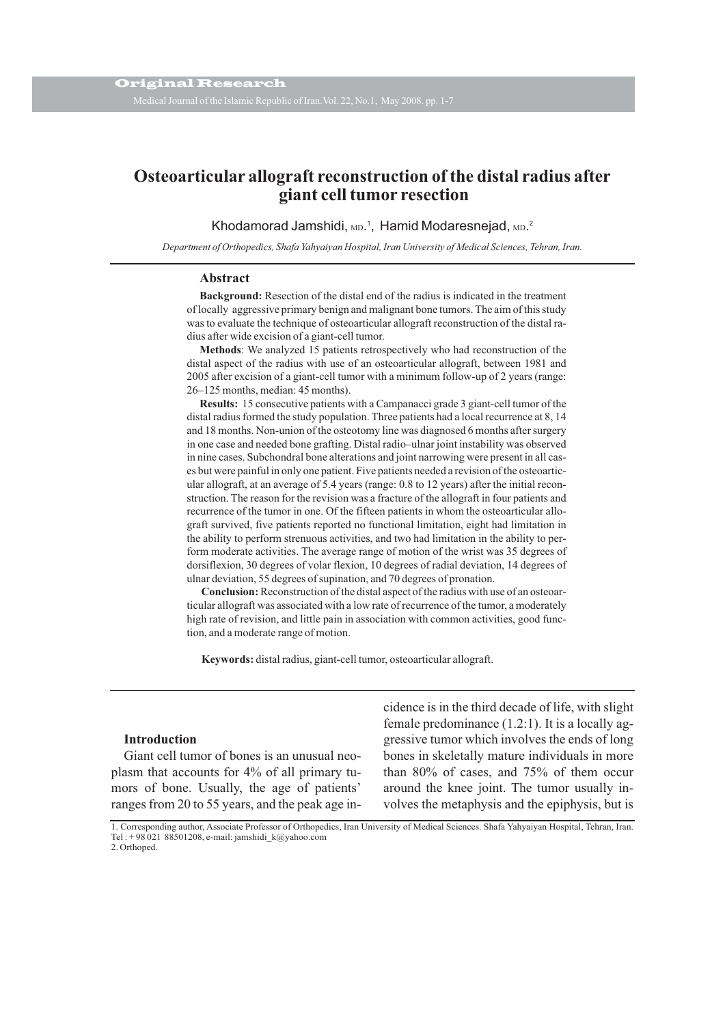# **Osteoarticular allograft reconstruction of the distal radius after giant cell tumor resection**

Khodamorad Jamshidi, <sub>MD</sub>.<sup>1</sup>, Hamid Modaresnejad, <sub>MD</sub>.<sup>2</sup>

*Department of Orthopedics, Shafa Yahyaiyan Hospital, Iran University of Medical Sciences, Tehran, Iran.*

#### **Abstract**

**Background:** Resection of the distal end of the radius is indicated in the treatment of locally aggressive primary benign and malignant bone tumors. The aim of this study was to evaluate the technique of osteoarticular allograft reconstruction of the distal radius after wide excision of a giant-cell tumor.

**Methods**: We analyzed 15 patients retrospectively who had reconstruction of the distal aspect of the radius with use of an osteoarticular allograft, between 1981 and 2005 after excision of a giant-cell tumor with a minimum follow-up of 2 years (range: 26–125 months, median: 45 months).

**Results:** 15 consecutive patients with a Campanacci grade 3 giant-cell tumor of the distal radius formed the study population. Three patients had a local recurrence at 8, 14 and 18 months. Non-union of the osteotomy line was diagnosed 6 months after surgery in one case and needed bone grafting. Distal radio–ulnar joint instability was observed in nine cases. Subchondral bone alterations and joint narrowing were present in all cases but were painful in only one patient. Five patients needed a revision of the osteoarticular allograft, at an average of 5.4 years (range: 0.8 to 12 years) after the initial reconstruction. The reason for the revision was a fracture of the allograft in four patients and recurrence of the tumor in one. Of the fifteen patients in whom the osteoarticular allograft survived, five patients reported no functional limitation, eight had limitation in the ability to perform strenuous activities, and two had limitation in the ability to perform moderate activities. The average range of motion of the wrist was 35 degrees of dorsiflexion, 30 degrees of volar flexion, 10 degrees of radial deviation, 14 degrees of ulnar deviation, 55 degrees of supination, and 70 degrees of pronation.

**Conclusion:**Reconstruction of the distal aspect of the radius with use of an osteoarticular allograft was associated with a low rate of recurrence of the tumor, a moderately high rate of revision, and little pain in association with common activities, good function, and a moderate range of motion.

**Keywords:** distal radius, giant-cell tumor, osteoarticular allograft.

## **Introduction**

Giant cell tumor of bones is an unusual neoplasm that accounts for 4% of all primary tumors of bone. Usually, the age of patients' ranges from 20 to 55 years, and the peak age incidence is in the third decade of life, with slight female predominance (1.2:1). It is a locally aggressive tumor which involves the ends of long bones in skeletally mature individuals in more than 80% of cases, and 75% of them occur around the knee joint. The tumor usually involves the metaphysis and the epiphysis, but is

1. Corresponding author, Associate Professor of Orthopedics, Iran University of Medical Sciences. Shafa Yahyaiyan Hospital, Tehran, Iran. Tel : +98 021 88501208, e-mail: jamshidi k@yahoo.com 2. Orthoped.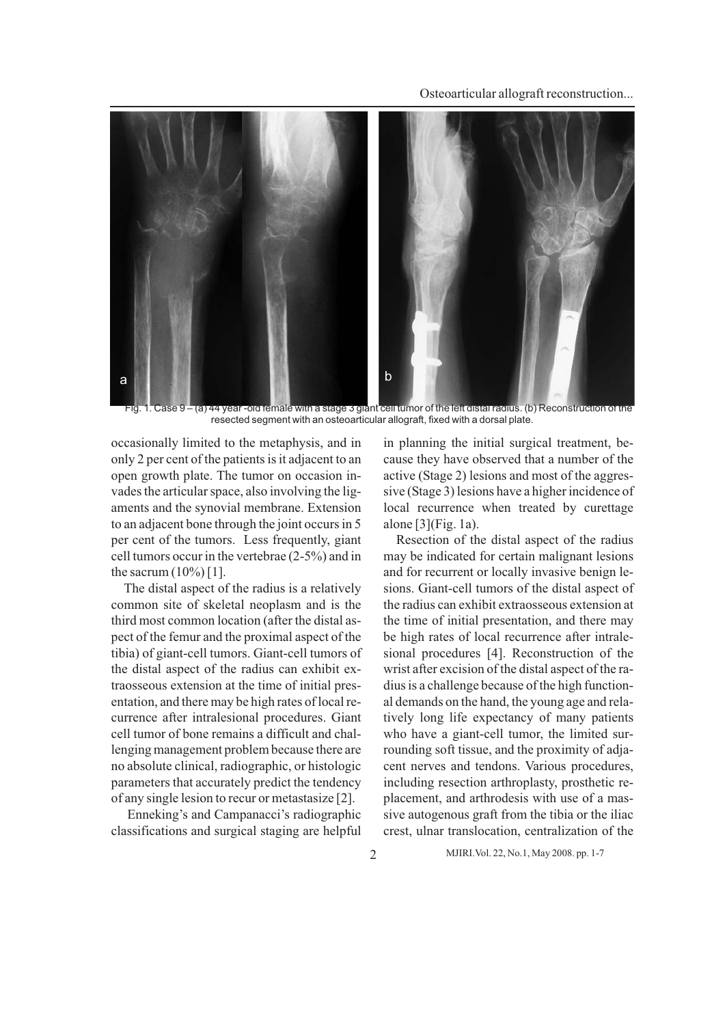Osteoarticular allograft reconstruction...



Case 9 – (a) 44 year -old female with a stage 3 giant cell tumor of the left distal radius. (b) Reconstruction of the resected segment with an osteoarticular allograft, fixed with a dorsal plate.

occasionally limited to the metaphysis, and in only 2 per cent of the patients is it adjacent to an open growth plate. The tumor on occasion invades the articular space, also involving the ligaments and the synovial membrane. Extension to an adjacent bone through the joint occurs in 5 per cent of the tumors. Less frequently, giant cell tumors occur in the vertebrae (2-5%) and in the sacrum  $(10\%)$  [1].

The distal aspect of the radius is a relatively common site of skeletal neoplasm and is the third most common location (after the distal aspect of the femur and the proximal aspect of the tibia) of giant-cell tumors. Giant-cell tumors of the distal aspect of the radius can exhibit extraosseous extension at the time of initial presentation, and there may be high rates of local recurrence after intralesional procedures. Giant cell tumor of bone remains a difficult and challenging management problem because there are no absolute clinical, radiographic, or histologic parameters that accurately predict the tendency of any single lesion to recur or metastasize [2].

Enneking's and Campanacci's radiographic classifications and surgical staging are helpful

in planning the initial surgical treatment, because they have observed that a number of the active (Stage 2) lesions and most of the aggressive (Stage 3) lesions have a higher incidence of local recurrence when treated by curettage alone [3](Fig. 1a).

Resection of the distal aspect of the radius may be indicated for certain malignant lesions and for recurrent or locally invasive benign lesions. Giant-cell tumors of the distal aspect of the radius can exhibit extraosseous extension at the time of initial presentation, and there may be high rates of local recurrence after intralesional procedures [4]. Reconstruction of the wrist after excision of the distal aspect of the radius is a challenge because of the high functional demands on the hand, the young age and relatively long life expectancy of many patients who have a giant-cell tumor, the limited surrounding soft tissue, and the proximity of adjacent nerves and tendons. Various procedures, including resection arthroplasty, prosthetic replacement, and arthrodesis with use of a massive autogenous graft from the tibia or the iliac crest, ulnar translocation, centralization of the

2 MJIRI.Vol. 22, No.1, May 2008. pp. 1-7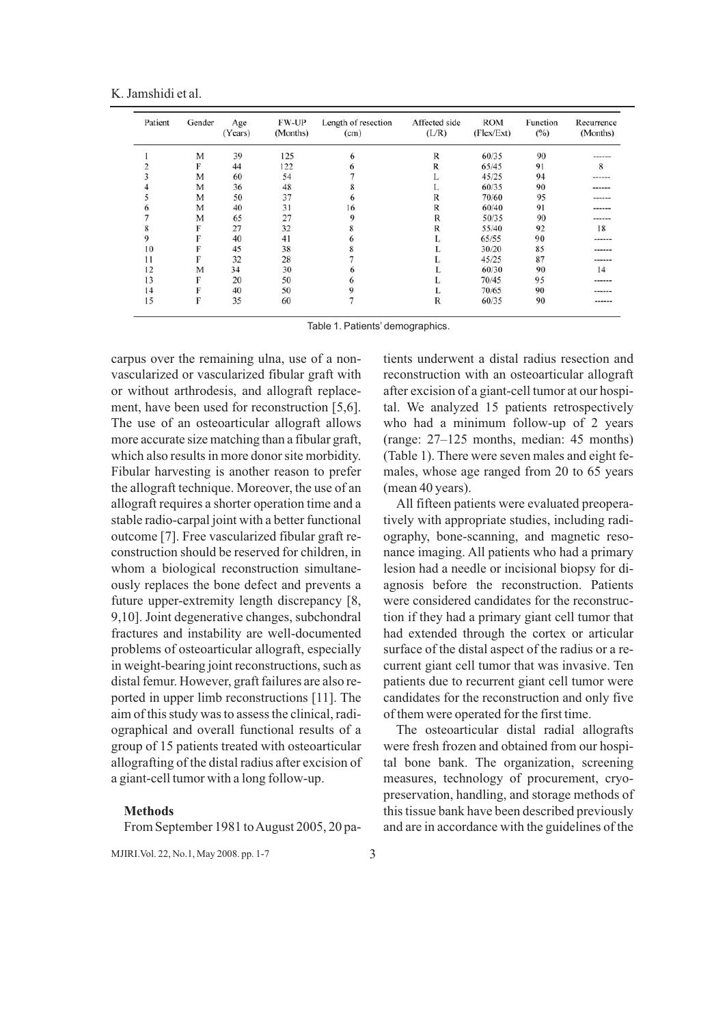K. Jamshidi et al.

| Patient | Gender | Age<br>(Years) | FW-UP<br>(Months) | Length of resection<br>(cm) | Affected side<br>(L/R) | <b>ROM</b><br>(Flex/Ext) | Function<br>$(^{0}/_{0})$ | Recurrence<br>(Months) |
|---------|--------|----------------|-------------------|-----------------------------|------------------------|--------------------------|---------------------------|------------------------|
|         | M      | 39             | 125               | 6                           | $\mathbb{R}$           | 60/35                    | 90                        | ------                 |
|         | F      | 44             | 122               |                             | R                      | 65/45                    | 91                        | 8                      |
|         | M      | 60             | 54                |                             | L                      | 45/25                    | 94                        | ******                 |
|         | M      | 36             | 48                |                             | L                      | 60/35                    | 90                        | ------                 |
|         | M      | 50             | 37                | 6                           | R                      | 70/60                    | 95                        | ------                 |
| o       | M      | 40             | 31                | 16                          | R                      | 60/40                    | 91                        | ------                 |
|         | M      | 65             | 27                | Q                           | $\mathbb{R}$           | 50/35                    | 90                        | ------                 |
| 8       | F      | 27             | 32                |                             | R                      | 55/40                    | 92                        | 18                     |
| 9       |        | 40             | 41                |                             | L.                     | 65/55                    | 90                        | ------                 |
| 10      |        | 45             | 38                |                             |                        | 30/20                    | 85                        | ------                 |
|         | F      | 32             | 28                |                             |                        | 45/25                    | 87                        | ------                 |
| 12      | M      | 34             | 30                |                             |                        | 60/30                    | 90                        | 14                     |
| 13      |        | 20             | 50                |                             | ı.                     | 70/45                    | 95                        | ------                 |
| 14      |        | 40             | 50                |                             | u                      | 70/65                    | 90                        | ------                 |
| 15      | F      | 35             | 60                |                             | $\mathbb{R}$           | 60/35                    | 90                        | ------                 |

Table 1. Patients' demographics.

carpus over the remaining ulna, use of a nonvascularized or vascularized fibular graft with or without arthrodesis, and allograft replacement, have been used for reconstruction [5,6]. The use of an osteoarticular allograft allows more accurate size matching than a fibular graft, which also results in more donor site morbidity. Fibular harvesting is another reason to prefer the allograft technique. Moreover, the use of an allograft requires a shorter operation time and a stable radio-carpal joint with a better functional outcome [7]. Free vascularized fibular graft reconstruction should be reserved for children, in whom a biological reconstruction simultaneously replaces the bone defect and prevents a future upper-extremity length discrepancy [8, 9,10]. Joint degenerative changes, subchondral fractures and instability are well-documented problems of osteoarticular allograft, especially in weight-bearing joint reconstructions, such as distal femur. However, graft failures are also reported in upper limb reconstructions [11]. The aim of this study was to assess the clinical, radiographical and overall functional results of a group of 15 patients treated with osteoarticular allografting of the distal radius after excision of a giant-cell tumor with a long follow-up.

## **Methods**

From September 1981 to August 2005, 20 pa-

MJIRI.Vol. 22, No.1, May 2008. pp. 1-7 3

tients underwent a distal radius resection and reconstruction with an osteoarticular allograft after excision of a giant-cell tumor at our hospital. We analyzed 15 patients retrospectively who had a minimum follow-up of 2 years (range: 27–125 months, median: 45 months) (Table 1). There were seven males and eight females, whose age ranged from 20 to 65 years (mean 40 years).

All fifteen patients were evaluated preoperatively with appropriate studies, including radiography, bone-scanning, and magnetic resonance imaging. All patients who had a primary lesion had a needle or incisional biopsy for diagnosis before the reconstruction. Patients were considered candidates for the reconstruction if they had a primary giant cell tumor that had extended through the cortex or articular surface of the distal aspect of the radius or a recurrent giant cell tumor that was invasive. Ten patients due to recurrent giant cell tumor were candidates for the reconstruction and only five of them were operated for the first time.

The osteoarticular distal radial allografts were fresh frozen and obtained from our hospital bone bank. The organization, screening measures, technology of procurement, cryopreservation, handling, and storage methods of this tissue bank have been described previously and are in accordance with the guidelines of the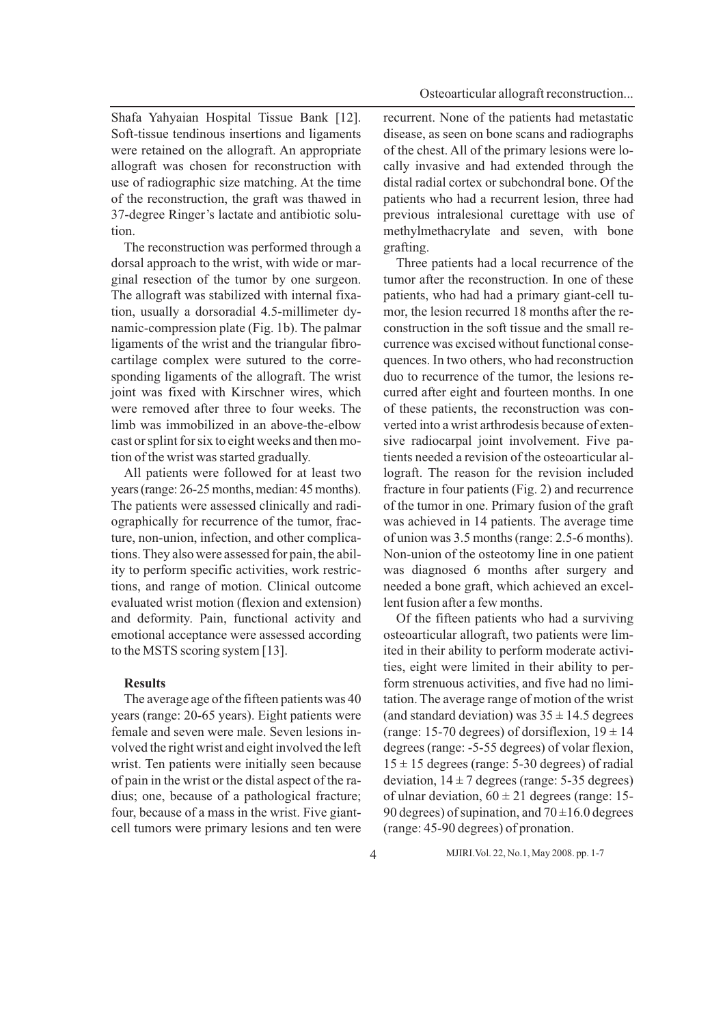Shafa Yahyaian Hospital Tissue Bank [12]. Soft-tissue tendinous insertions and ligaments were retained on the allograft. An appropriate allograft was chosen for reconstruction with use of radiographic size matching. At the time of the reconstruction, the graft was thawed in 37-degree Ringer's lactate and antibiotic solution.

The reconstruction was performed through a dorsal approach to the wrist, with wide or marginal resection of the tumor by one surgeon. The allograft was stabilized with internal fixation, usually a dorsoradial 4.5-millimeter dynamic-compression plate (Fig. 1b). The palmar ligaments of the wrist and the triangular fibrocartilage complex were sutured to the corresponding ligaments of the allograft. The wrist joint was fixed with Kirschner wires, which were removed after three to four weeks. The limb was immobilized in an above-the-elbow cast or splint for six to eight weeks and then motion of the wrist was started gradually.

All patients were followed for at least two years (range: 26-25 months, median: 45 months). The patients were assessed clinically and radiographically for recurrence of the tumor, fracture, non-union, infection, and other complications. They also were assessed for pain, the ability to perform specific activities, work restrictions, and range of motion. Clinical outcome evaluated wrist motion (flexion and extension) and deformity. Pain, functional activity and emotional acceptance were assessed according to the MSTS scoring system [13].

#### **Results**

The average age of the fifteen patients was 40 years (range: 20-65 years). Eight patients were female and seven were male. Seven lesions involved the right wrist and eight involved the left wrist. Ten patients were initially seen because of pain in the wrist or the distal aspect of the radius; one, because of a pathological fracture; four, because of a mass in the wrist. Five giantcell tumors were primary lesions and ten were

recurrent. None of the patients had metastatic disease, as seen on bone scans and radiographs of the chest. All of the primary lesions were locally invasive and had extended through the distal radial cortex or subchondral bone. Of the patients who had a recurrent lesion, three had previous intralesional curettage with use of methylmethacrylate and seven, with bone grafting.

Three patients had a local recurrence of the tumor after the reconstruction. In one of these patients, who had had a primary giant-cell tumor, the lesion recurred 18 months after the reconstruction in the soft tissue and the small recurrence was excised without functional consequences. In two others, who had reconstruction duo to recurrence of the tumor, the lesions recurred after eight and fourteen months. In one of these patients, the reconstruction was converted into a wrist arthrodesis because of extensive radiocarpal joint involvement. Five patients needed a revision of the osteoarticular allograft. The reason for the revision included fracture in four patients (Fig. 2) and recurrence of the tumor in one. Primary fusion of the graft was achieved in 14 patients. The average time of union was 3.5 months (range: 2.5-6 months). Non-union of the osteotomy line in one patient was diagnosed 6 months after surgery and needed a bone graft, which achieved an excellent fusion after a few months.

Of the fifteen patients who had a surviving osteoarticular allograft, two patients were limited in their ability to perform moderate activities, eight were limited in their ability to perform strenuous activities, and five had no limitation. The average range of motion of the wrist (and standard deviation) was  $35 \pm 14.5$  degrees (range: 15-70 degrees) of dorsiflexion,  $19 \pm 14$ degrees (range: -5-55 degrees) of volar flexion,  $15 \pm 15$  degrees (range: 5-30 degrees) of radial deviation,  $14 \pm 7$  degrees (range: 5-35 degrees) of ulnar deviation,  $60 \pm 21$  degrees (range: 15-90 degrees) of supination, and  $70 \pm 16.0$  degrees (range: 45-90 degrees) of pronation.

4 MJIRI.Vol. 22, No.1, May 2008. pp. 1-7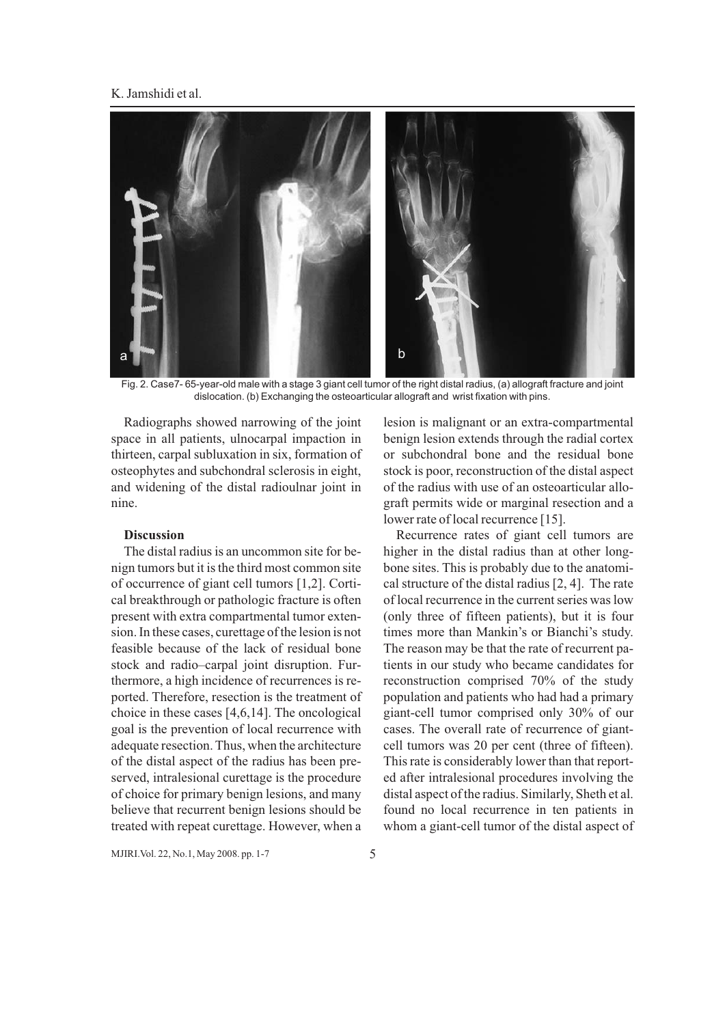## K. Jamshidi et al.



Fig. 2. Case7- 65-year-old male with a stage 3 giant cell tumor of the right distal radius, (a) allograft fracture and joint dislocation. (b) Exchanging the osteoarticular allograft and wrist fixation with pins.

Radiographs showed narrowing of the joint space in all patients, ulnocarpal impaction in thirteen, carpal subluxation in six, formation of osteophytes and subchondral sclerosis in eight, and widening of the distal radioulnar joint in nine.

# **Discussion**

The distal radius is an uncommon site for benign tumors but it is the third most common site of occurrence of giant cell tumors [1,2]. Cortical breakthrough or pathologic fracture is often present with extra compartmental tumor extension. In these cases, curettage of the lesion is not feasible because of the lack of residual bone stock and radio–carpal joint disruption. Furthermore, a high incidence of recurrences is reported. Therefore, resection is the treatment of choice in these cases [4,6,14]. The oncological goal is the prevention of local recurrence with adequate resection. Thus, when the architecture of the distal aspect of the radius has been preserved, intralesional curettage is the procedure of choice for primary benign lesions, and many believe that recurrent benign lesions should be treated with repeat curettage. However, when a

lesion is malignant or an extra-compartmental benign lesion extends through the radial cortex or subchondral bone and the residual bone stock is poor, reconstruction of the distal aspect of the radius with use of an osteoarticular allograft permits wide or marginal resection and a lower rate of local recurrence [15].

Recurrence rates of giant cell tumors are higher in the distal radius than at other longbone sites. This is probably due to the anatomical structure of the distal radius [2, 4]. The rate of local recurrence in the current series was low (only three of fifteen patients), but it is four times more than Mankin's or Bianchi's study. The reason may be that the rate of recurrent patients in our study who became candidates for reconstruction comprised 70% of the study population and patients who had had a primary giant-cell tumor comprised only 30% of our cases. The overall rate of recurrence of giantcell tumors was 20 per cent (three of fifteen). This rate is considerably lower than that reported after intralesional procedures involving the distal aspect of the radius. Similarly, Sheth et al. found no local recurrence in ten patients in whom a giant-cell tumor of the distal aspect of

MJIRI.Vol. 22, No.1, May 2008. pp. 1-7 5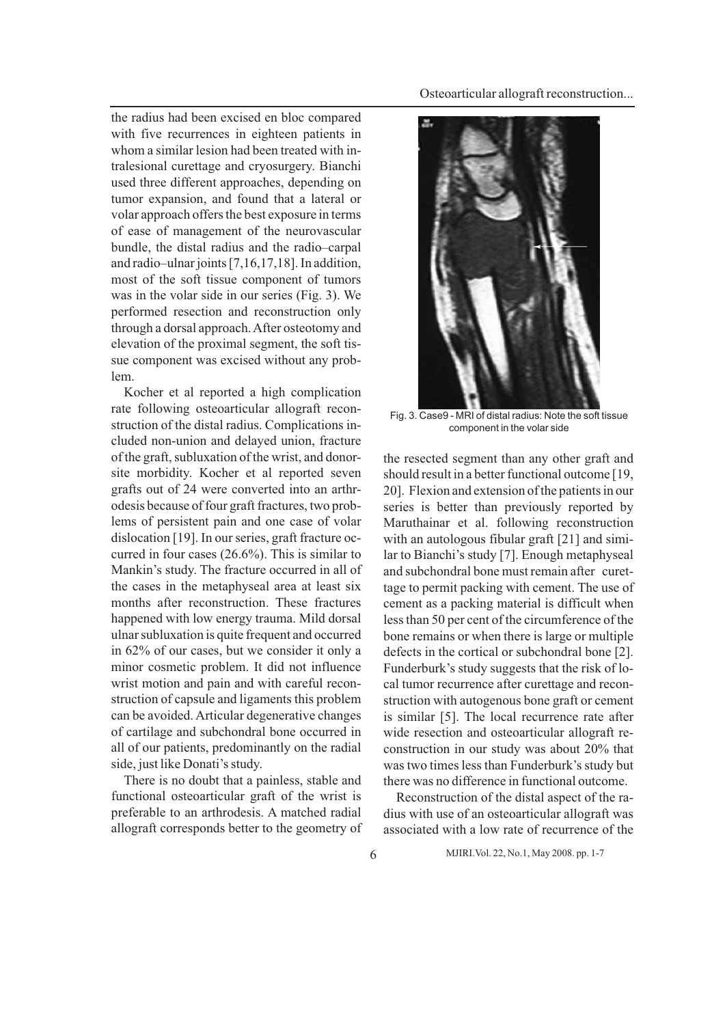the radius had been excised en bloc compared with five recurrences in eighteen patients in whom a similar lesion had been treated with intralesional curettage and cryosurgery. Bianchi used three different approaches, depending on tumor expansion, and found that a lateral or volar approach offers the best exposure in terms of ease of management of the neurovascular bundle, the distal radius and the radio–carpal and radio–ulnar joints [7,16,17,18]. In addition, most of the soft tissue component of tumors was in the volar side in our series (Fig. 3). We performed resection and reconstruction only through a dorsal approach. After osteotomy and elevation of the proximal segment, the soft tissue component was excised without any problem.

Kocher et al reported a high complication rate following osteoarticular allograft reconstruction of the distal radius. Complications included non-union and delayed union, fracture of the graft, subluxation of the wrist, and donorsite morbidity. Kocher et al reported seven grafts out of 24 were converted into an arthrodesis because of four graft fractures, two problems of persistent pain and one case of volar dislocation [19]. In our series, graft fracture occurred in four cases (26.6%). This is similar to Mankin's study. The fracture occurred in all of the cases in the metaphyseal area at least six months after reconstruction. These fractures happened with low energy trauma. Mild dorsal ulnar subluxation is quite frequent and occurred in 62% of our cases, but we consider it only a minor cosmetic problem. It did not influence wrist motion and pain and with careful reconstruction of capsule and ligaments this problem can be avoided. Articular degenerative changes of cartilage and subchondral bone occurred in all of our patients, predominantly on the radial side, just like Donati's study.

There is no doubt that a painless, stable and functional osteoarticular graft of the wrist is preferable to an arthrodesis. A matched radial allograft corresponds better to the geometry of



Fig. 3. Case9 - MRI of distal radius: Note the soft tissue component in the volar side

the resected segment than any other graft and should result in a better functional outcome [19, 20]. Flexion and extension of the patients in our series is better than previously reported by Maruthainar et al. following reconstruction with an autologous fibular graft [21] and similar to Bianchi's study [7]. Enough metaphyseal and subchondral bone must remain after curettage to permit packing with cement. The use of cement as a packing material is difficult when less than 50 per cent of the circumference of the bone remains or when there is large or multiple defects in the cortical or subchondral bone [2]. Funderburk's study suggests that the risk of local tumor recurrence after curettage and reconstruction with autogenous bone graft or cement is similar [5]. The local recurrence rate after wide resection and osteoarticular allograft reconstruction in our study was about 20% that was two times less than Funderburk's study but there was no difference in functional outcome.

Reconstruction of the distal aspect of the radius with use of an osteoarticular allograft was associated with a low rate of recurrence of the

6 MJIRI.Vol. 22, No.1, May 2008. pp. 1-7